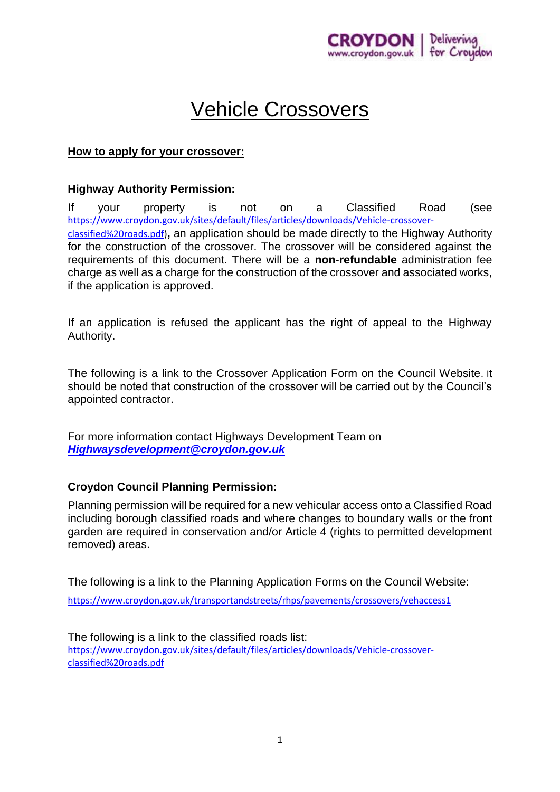

# Vehicle Crossovers

# **How to apply for your crossover:**

# **Highway Authority Permission:**

If your property is not on a Classified Road (see [https://www.croydon.gov.uk/sites/default/files/articles/downloads/Vehicle-crossover](https://www.croydon.gov.uk/sites/default/files/articles/downloads/Vehicle-crossover-classified%20roads.pdf)[classified%20roads.pdf\)](https://www.croydon.gov.uk/sites/default/files/articles/downloads/Vehicle-crossover-classified%20roads.pdf)**,** an application should be made directly to the Highway Authority for the construction of the crossover. The crossover will be considered against the requirements of this document. There will be a **non-refundable** administration fee charge as well as a charge for the construction of the crossover and associated works, if the application is approved.

If an application is refused the applicant has the right of appeal to the Highway Authority.

The following is a link to the Crossover Application Form on the Council Website. It should be noted that construction of the crossover will be carried out by the Council's appointed contractor.

For more information contact Highways Development Team on *[Highwaysdevelopment@croydon.gov.uk](mailto:Highwaysdevelopment@croydon.gov.uk)*

# **Croydon Council Planning Permission:**

Planning permission will be required for a new vehicular access onto a Classified Road including borough classified roads and where changes to boundary walls or the front garden are required in conservation and/or Article 4 (rights to permitted development removed) areas.

The following is a link to the Planning Application Forms on the Council Website:

<https://www.croydon.gov.uk/transportandstreets/rhps/pavements/crossovers/vehaccess1>

The following is a link to the classified roads list: [https://www.croydon.gov.uk/sites/default/files/articles/downloads/Vehicle-crossover](https://www.croydon.gov.uk/sites/default/files/articles/downloads/Vehicle-crossover-classified%20roads.pdf)[classified%20roads.pdf](https://www.croydon.gov.uk/sites/default/files/articles/downloads/Vehicle-crossover-classified%20roads.pdf)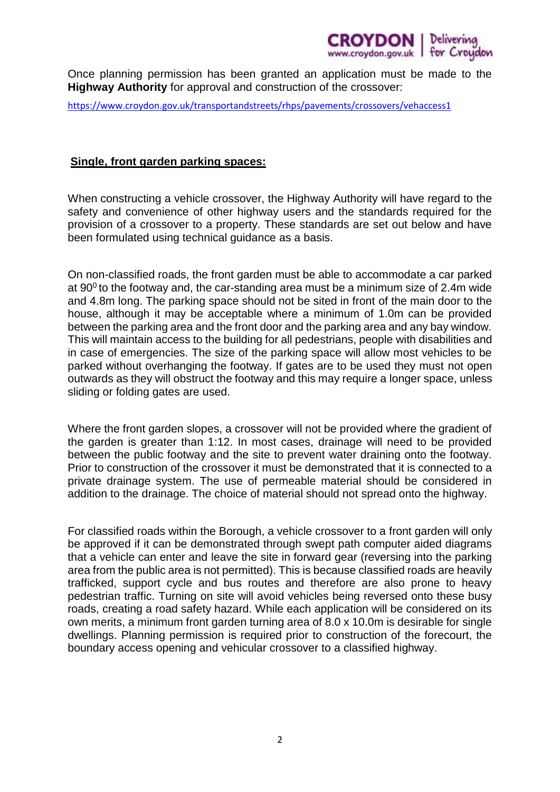

Once planning permission has been granted an application must be made to the **Highway Authority** for approval and construction of the crossover:

<https://www.croydon.gov.uk/transportandstreets/rhps/pavements/crossovers/vehaccess1>

#### **Single, front garden parking spaces:**

When constructing a vehicle crossover, the Highway Authority will have regard to the safety and convenience of other highway users and the standards required for the provision of a crossover to a property. These standards are set out below and have been formulated using technical guidance as a basis.

On non-classified roads, the front garden must be able to accommodate a car parked at  $90^{\circ}$  to the footway and, the car-standing area must be a minimum size of 2.4m wide and 4.8m long. The parking space should not be sited in front of the main door to the house, although it may be acceptable where a minimum of 1.0m can be provided between the parking area and the front door and the parking area and any bay window. This will maintain access to the building for all pedestrians, people with disabilities and in case of emergencies. The size of the parking space will allow most vehicles to be parked without overhanging the footway. If gates are to be used they must not open outwards as they will obstruct the footway and this may require a longer space, unless sliding or folding gates are used.

Where the front garden slopes, a crossover will not be provided where the gradient of the garden is greater than 1:12. In most cases, drainage will need to be provided between the public footway and the site to prevent water draining onto the footway. Prior to construction of the crossover it must be demonstrated that it is connected to a private drainage system. The use of permeable material should be considered in addition to the drainage. The choice of material should not spread onto the highway.

For classified roads within the Borough, a vehicle crossover to a front garden will only be approved if it can be demonstrated through swept path computer aided diagrams that a vehicle can enter and leave the site in forward gear (reversing into the parking area from the public area is not permitted). This is because classified roads are heavily trafficked, support cycle and bus routes and therefore are also prone to heavy pedestrian traffic. Turning on site will avoid vehicles being reversed onto these busy roads, creating a road safety hazard. While each application will be considered on its own merits, a minimum front garden turning area of 8.0 x 10.0m is desirable for single dwellings. Planning permission is required prior to construction of the forecourt, the boundary access opening and vehicular crossover to a classified highway.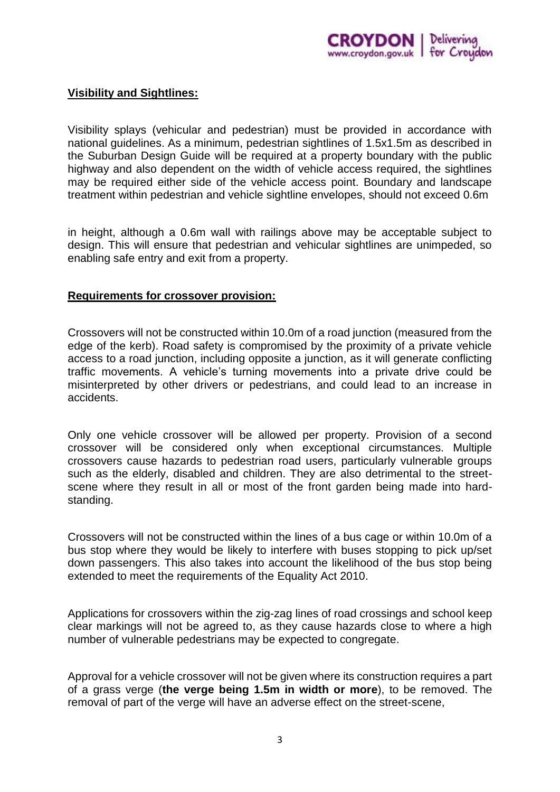

# **Visibility and Sightlines:**

Visibility splays (vehicular and pedestrian) must be provided in accordance with national guidelines. As a minimum, pedestrian sightlines of 1.5x1.5m as described in the Suburban Design Guide will be required at a property boundary with the public highway and also dependent on the width of vehicle access required, the sightlines may be required either side of the vehicle access point. Boundary and landscape treatment within pedestrian and vehicle sightline envelopes, should not exceed 0.6m

in height, although a 0.6m wall with railings above may be acceptable subject to design. This will ensure that pedestrian and vehicular sightlines are unimpeded, so enabling safe entry and exit from a property.

#### **Requirements for crossover provision:**

Crossovers will not be constructed within 10.0m of a road junction (measured from the edge of the kerb). Road safety is compromised by the proximity of a private vehicle access to a road junction, including opposite a junction, as it will generate conflicting traffic movements. A vehicle's turning movements into a private drive could be misinterpreted by other drivers or pedestrians, and could lead to an increase in accidents.

Only one vehicle crossover will be allowed per property. Provision of a second crossover will be considered only when exceptional circumstances. Multiple crossovers cause hazards to pedestrian road users, particularly vulnerable groups such as the elderly, disabled and children. They are also detrimental to the streetscene where they result in all or most of the front garden being made into hardstanding.

Crossovers will not be constructed within the lines of a bus cage or within 10.0m of a bus stop where they would be likely to interfere with buses stopping to pick up/set down passengers. This also takes into account the likelihood of the bus stop being extended to meet the requirements of the Equality Act 2010.

Applications for crossovers within the zig-zag lines of road crossings and school keep clear markings will not be agreed to, as they cause hazards close to where a high number of vulnerable pedestrians may be expected to congregate.

Approval for a vehicle crossover will not be given where its construction requires a part of a grass verge (**the verge being 1.5m in width or more**), to be removed. The removal of part of the verge will have an adverse effect on the street-scene,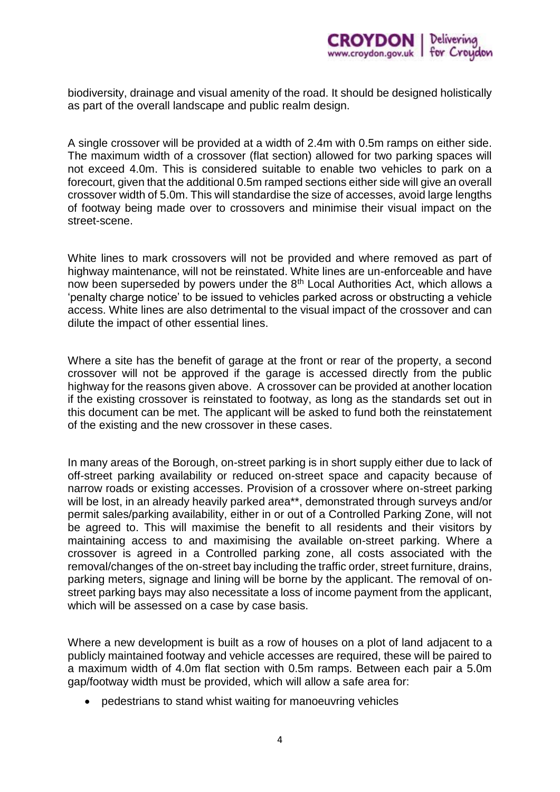

biodiversity, drainage and visual amenity of the road. It should be designed holistically as part of the overall landscape and public realm design.

A single crossover will be provided at a width of 2.4m with 0.5m ramps on either side. The maximum width of a crossover (flat section) allowed for two parking spaces will not exceed 4.0m. This is considered suitable to enable two vehicles to park on a forecourt, given that the additional 0.5m ramped sections either side will give an overall crossover width of 5.0m. This will standardise the size of accesses, avoid large lengths of footway being made over to crossovers and minimise their visual impact on the street-scene.

White lines to mark crossovers will not be provided and where removed as part of highway maintenance, will not be reinstated. White lines are un-enforceable and have now been superseded by powers under the 8<sup>th</sup> Local Authorities Act, which allows a 'penalty charge notice' to be issued to vehicles parked across or obstructing a vehicle access. White lines are also detrimental to the visual impact of the crossover and can dilute the impact of other essential lines.

Where a site has the benefit of garage at the front or rear of the property, a second crossover will not be approved if the garage is accessed directly from the public highway for the reasons given above. A crossover can be provided at another location if the existing crossover is reinstated to footway, as long as the standards set out in this document can be met. The applicant will be asked to fund both the reinstatement of the existing and the new crossover in these cases.

In many areas of the Borough, on-street parking is in short supply either due to lack of off-street parking availability or reduced on-street space and capacity because of narrow roads or existing accesses. Provision of a crossover where on-street parking will be lost, in an already heavily parked area\*\*, demonstrated through surveys and/or permit sales/parking availability, either in or out of a Controlled Parking Zone, will not be agreed to. This will maximise the benefit to all residents and their visitors by maintaining access to and maximising the available on-street parking. Where a crossover is agreed in a Controlled parking zone, all costs associated with the removal/changes of the on-street bay including the traffic order, street furniture, drains, parking meters, signage and lining will be borne by the applicant. The removal of onstreet parking bays may also necessitate a loss of income payment from the applicant, which will be assessed on a case by case basis.

Where a new development is built as a row of houses on a plot of land adjacent to a publicly maintained footway and vehicle accesses are required, these will be paired to a maximum width of 4.0m flat section with 0.5m ramps. Between each pair a 5.0m gap/footway width must be provided, which will allow a safe area for:

• pedestrians to stand whist waiting for manoeuvring vehicles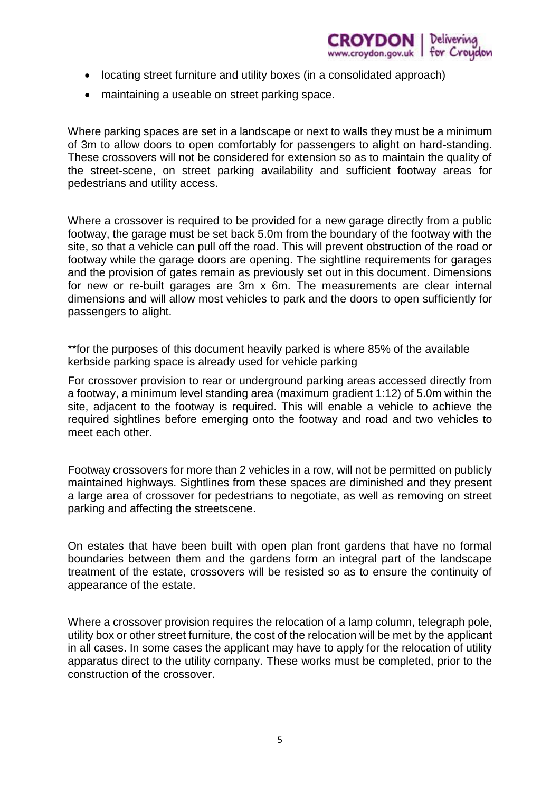

- locating street furniture and utility boxes (in a consolidated approach)
- maintaining a useable on street parking space.

Where parking spaces are set in a landscape or next to walls they must be a minimum of 3m to allow doors to open comfortably for passengers to alight on hard-standing. These crossovers will not be considered for extension so as to maintain the quality of the street-scene, on street parking availability and sufficient footway areas for pedestrians and utility access.

Where a crossover is required to be provided for a new garage directly from a public footway, the garage must be set back 5.0m from the boundary of the footway with the site, so that a vehicle can pull off the road. This will prevent obstruction of the road or footway while the garage doors are opening. The sightline requirements for garages and the provision of gates remain as previously set out in this document. Dimensions for new or re-built garages are 3m x 6m. The measurements are clear internal dimensions and will allow most vehicles to park and the doors to open sufficiently for passengers to alight.

\*\*for the purposes of this document heavily parked is where 85% of the available kerbside parking space is already used for vehicle parking

For crossover provision to rear or underground parking areas accessed directly from a footway, a minimum level standing area (maximum gradient 1:12) of 5.0m within the site, adjacent to the footway is required. This will enable a vehicle to achieve the required sightlines before emerging onto the footway and road and two vehicles to meet each other.

Footway crossovers for more than 2 vehicles in a row, will not be permitted on publicly maintained highways. Sightlines from these spaces are diminished and they present a large area of crossover for pedestrians to negotiate, as well as removing on street parking and affecting the streetscene.

On estates that have been built with open plan front gardens that have no formal boundaries between them and the gardens form an integral part of the landscape treatment of the estate, crossovers will be resisted so as to ensure the continuity of appearance of the estate.

Where a crossover provision requires the relocation of a lamp column, telegraph pole, utility box or other street furniture, the cost of the relocation will be met by the applicant in all cases. In some cases the applicant may have to apply for the relocation of utility apparatus direct to the utility company. These works must be completed, prior to the construction of the crossover.